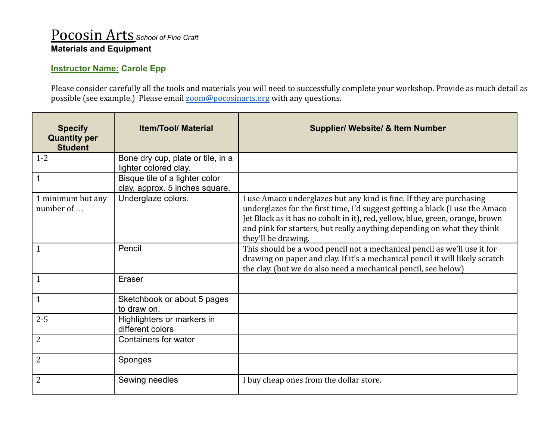## Pocosin Arts *School of Fine Craft* **Materials and Equipment**

## **Instructor Name: Carole Epp**

Please consider carefully all the tools and materials you will need to successfully complete your workshop. Provide as much detail as possible (see example.) Please email [zoom@pocosinarts.org](mailto:zoom@pocosinarts.org) with any questions.

| <b>Specify</b><br><b>Quantity per</b><br><b>Student</b> | <b>Item/Tool/ Material</b>                                       | <b>Supplier/ Website/ &amp; Item Number</b>                                                                                                                                                                                                                                                                                             |
|---------------------------------------------------------|------------------------------------------------------------------|-----------------------------------------------------------------------------------------------------------------------------------------------------------------------------------------------------------------------------------------------------------------------------------------------------------------------------------------|
| $1 - 2$                                                 | Bone dry cup, plate or tile, in a<br>lighter colored clay.       |                                                                                                                                                                                                                                                                                                                                         |
| 1                                                       | Bisque tile of a lighter color<br>clay, approx. 5 inches square. |                                                                                                                                                                                                                                                                                                                                         |
| 1 minimum but any<br>number of $\ldots$                 | Underglaze colors.                                               | I use Amaco underglazes but any kind is fine. If they are purchasing<br>underglazes for the first time, I'd suggest getting a black (I use the Amaco<br>Jet Black as it has no cobalt in it), red, yellow, blue, green, orange, brown<br>and pink for starters, but really anything depending on what they think<br>they'll be drawing. |
| 1                                                       | Pencil                                                           | This should be a wood pencil not a mechanical pencil as we'll use it for<br>drawing on paper and clay. If it's a mechanical pencil it will likely scratch<br>the clay. (but we do also need a mechanical pencil, see below)                                                                                                             |
| $\mathbf 1$                                             | Eraser                                                           |                                                                                                                                                                                                                                                                                                                                         |
| $\mathbf{1}$                                            | Sketchbook or about 5 pages<br>to draw on.                       |                                                                                                                                                                                                                                                                                                                                         |
| $2 - 5$                                                 | Highlighters or markers in<br>different colors                   |                                                                                                                                                                                                                                                                                                                                         |
| 2                                                       | Containers for water                                             |                                                                                                                                                                                                                                                                                                                                         |
| 2                                                       | Sponges                                                          |                                                                                                                                                                                                                                                                                                                                         |
| $\overline{2}$                                          | Sewing needles                                                   | I buy cheap ones from the dollar store.                                                                                                                                                                                                                                                                                                 |